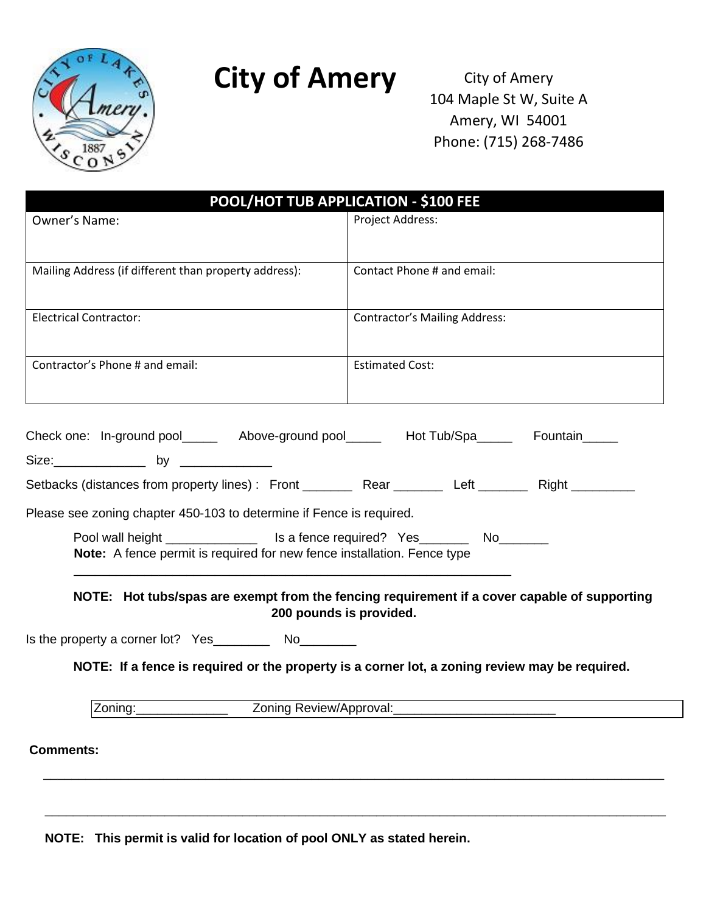

## **City of Amery**

City of Amery 104 Maple St W, Suite A Amery, WI 54001 Phone: (715) 268-7486

| POOL/HOT TUB APPLICATION - \$100 FEE                                                                                                                                     |                                                                                                |
|--------------------------------------------------------------------------------------------------------------------------------------------------------------------------|------------------------------------------------------------------------------------------------|
| Owner's Name:                                                                                                                                                            | Project Address:                                                                               |
|                                                                                                                                                                          |                                                                                                |
| Mailing Address (if different than property address):                                                                                                                    | Contact Phone # and email:                                                                     |
|                                                                                                                                                                          |                                                                                                |
| <b>Electrical Contractor:</b>                                                                                                                                            | <b>Contractor's Mailing Address:</b>                                                           |
| Contractor's Phone # and email:                                                                                                                                          | <b>Estimated Cost:</b>                                                                         |
| Check one: In-ground pool________ Above-ground pool_______ Hot Tub/Spa______ Fountain_____                                                                               |                                                                                                |
| Size: ________________ by ______________                                                                                                                                 |                                                                                                |
| Setbacks (distances from property lines): Front ___________ Rear ___________ Left __________ Right __________                                                            |                                                                                                |
| Please see zoning chapter 450-103 to determine if Fence is required.                                                                                                     |                                                                                                |
| Pool wall height _______________________ Is a fence required? Yes_______________ No__________<br>Note: A fence permit is required for new fence installation. Fence type |                                                                                                |
| NOTE: Hot tubs/spas are exempt from the fencing requirement if a cover capable of supporting<br>200 pounds is provided.                                                  |                                                                                                |
|                                                                                                                                                                          | NOTE: If a fence is required or the property is a corner lot, a zoning review may be required. |
| Zoning Review/Approval:<br>Zoning:                                                                                                                                       |                                                                                                |
| <b>Comments:</b>                                                                                                                                                         |                                                                                                |
|                                                                                                                                                                          |                                                                                                |

\_\_\_\_\_\_\_\_\_\_\_\_\_\_\_\_\_\_\_\_\_\_\_\_\_\_\_\_\_\_\_\_\_\_\_\_\_\_\_\_\_\_\_\_\_\_\_\_\_\_\_\_\_\_\_\_\_\_\_\_\_\_\_\_\_\_\_\_\_\_\_\_\_\_\_\_\_\_\_\_\_\_\_\_\_\_\_\_

**NOTE: This permit is valid for location of pool ONLY as stated herein.**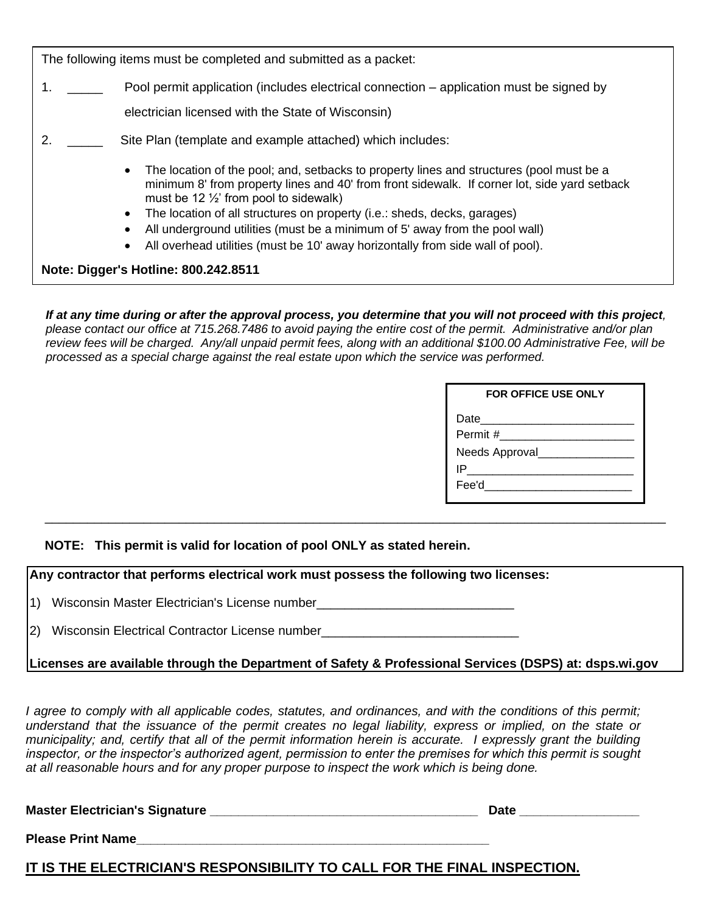The following items must be completed and submitted as a packet:

1. \_\_\_\_\_ Pool permit application (includes electrical connection – application must be signed by

electrician licensed with the State of Wisconsin)

- 2. \_\_\_\_\_ Site Plan (template and example attached) which includes:
	- The location of the pool; and, setbacks to property lines and structures (pool must be a minimum 8' from property lines and 40' from front sidewalk. If corner lot, side yard setback must be 12  $\frac{1}{2}$  from pool to sidewalk)
	- The location of all structures on property (i.e.: sheds, decks, garages)
	- All underground utilities (must be a minimum of 5' away from the pool wall)
	- All overhead utilities (must be 10' away horizontally from side wall of pool).

**Note: Digger's Hotline: 800.242.8511**

*If at any time during or after the approval process, you determine that you will not proceed with this project, please contact our office at 715.268.7486 to avoid paying the entire cost of the permit. Administrative and/or plan review fees will be charged. Any/all unpaid permit fees, along with an additional \$100.00 Administrative Fee, will be processed as a special charge against the real estate upon which the service was performed.* 

\_\_\_\_\_\_\_\_\_\_\_\_\_\_\_\_\_\_\_\_\_\_\_\_\_\_\_\_\_\_\_\_\_\_\_\_\_\_\_\_\_\_\_\_\_\_\_\_\_\_\_\_\_\_\_\_\_\_\_\_\_\_\_\_\_\_\_\_\_\_\_\_\_\_\_\_\_\_\_\_\_\_\_\_\_\_\_\_

| <b>FOR OFFICE USE ONLY</b> |  |
|----------------------------|--|
| Date _______               |  |
| Permit #                   |  |
| Needs Approval             |  |
| IP                         |  |
| Fee'd                      |  |
|                            |  |

**NOTE: This permit is valid for location of pool ONLY as stated herein.**

**Any contractor that performs electrical work must possess the following two licenses:**

1) Wisconsin Master Electrician's License number

2) Wisconsin Electrical Contractor License number

**Licenses are available through the Department of Safety & Professional Services (DSPS) at: dsps.wi.gov**

*I agree to comply with all applicable codes, statutes, and ordinances, and with the conditions of this permit; understand that the issuance of the permit creates no legal liability, express or implied, on the state or municipality; and, certify that all of the permit information herein is accurate. I expressly grant the building inspector, or the inspector's authorized agent, permission to enter the premises for which this permit is sought at all reasonable hours and for any proper purpose to inspect the work which is being done.* 

Master Electrician's Signature **Letter and Electrician's Signature** Letter Master and Date **Date Date Letter All 2014** 

**Please Print Name\_\_\_\_\_\_\_\_\_\_\_\_\_\_\_\_\_\_\_\_\_\_\_\_\_\_\_\_\_\_\_\_\_\_\_\_\_\_\_\_\_\_\_\_\_\_\_\_\_\_**

**IT IS THE ELECTRICIAN'S RESPONSIBILITY TO CALL FOR THE FINAL INSPECTION.**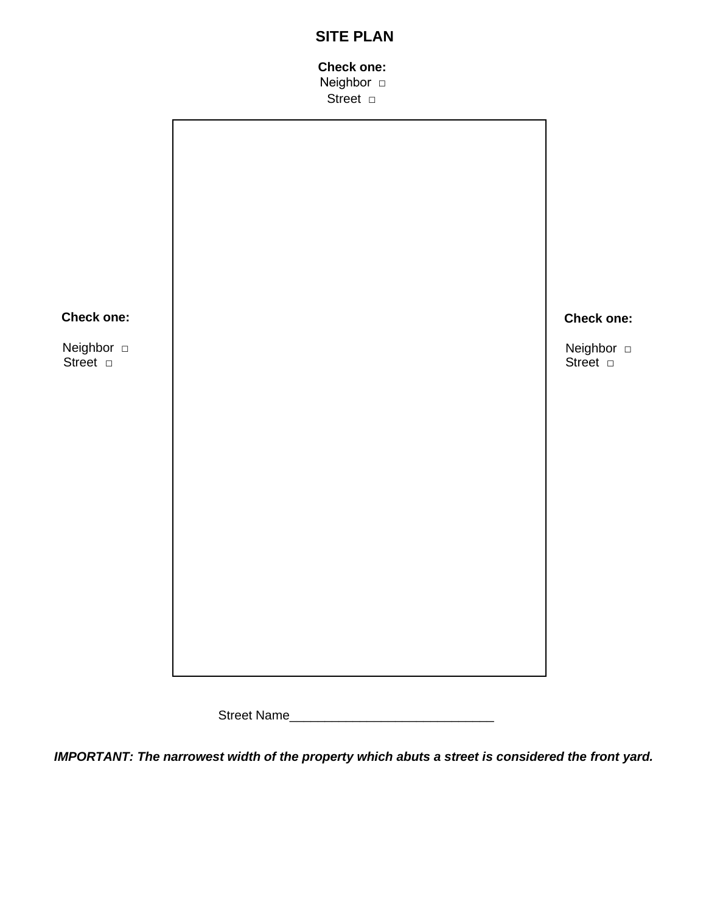## **SITE PLAN**

## **Check one: Neighbor** □

Street □



Street Name\_\_\_\_\_\_\_\_\_\_\_\_\_\_\_\_\_\_\_\_\_\_\_\_\_\_\_\_\_

*IMPORTANT: The narrowest width of the property which abuts a street is considered the front yard.*